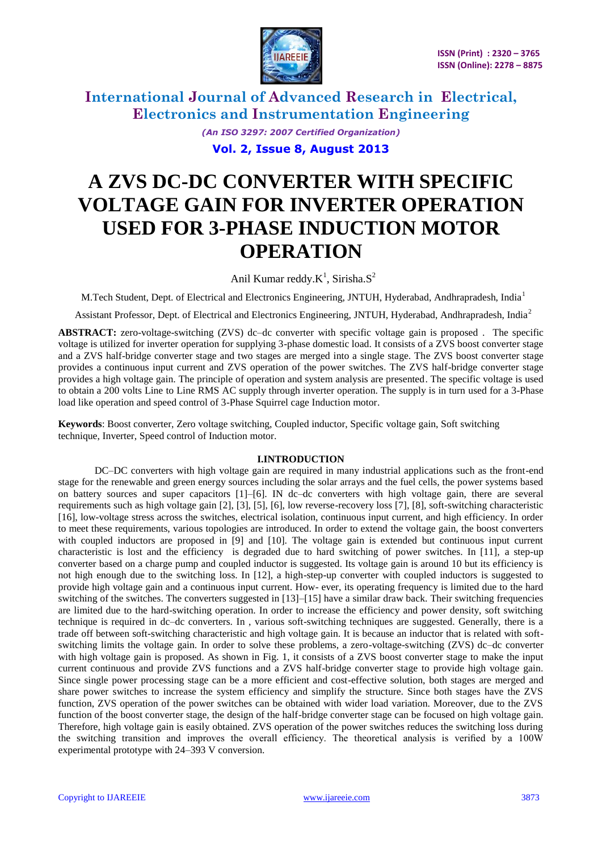

> *(An ISO 3297: 2007 Certified Organization)* **Vol. 2, Issue 8, August 2013**

# **A ZVS DC-DC CONVERTER WITH SPECIFIC VOLTAGE GAIN FOR INVERTER OPERATION USED FOR 3-PHASE INDUCTION MOTOR OPERATION**

Anil Kumar reddy. $K^1$ , Sirisha. $S^2$ 

M.Tech Student, Dept. of Electrical and Electronics Engineering, JNTUH, Hyderabad, Andhrapradesh, India<sup>1</sup>

Assistant Professor, Dept. of Electrical and Electronics Engineering, JNTUH, Hyderabad, Andhrapradesh, India<sup>2</sup>

**ABSTRACT:** zero-voltage-switching (ZVS) dc–dc converter with specific voltage gain is proposed . The specific voltage is utilized for inverter operation for supplying 3-phase domestic load. It consists of a ZVS boost converter stage and a ZVS half-bridge converter stage and two stages are merged into a single stage. The ZVS boost converter stage provides a continuous input current and ZVS operation of the power switches. The ZVS half-bridge converter stage provides a high voltage gain. The principle of operation and system analysis are presented. The specific voltage is used to obtain a 200 volts Line to Line RMS AC supply through inverter operation. The supply is in turn used for a 3-Phase load like operation and speed control of 3-Phase Squirrel cage Induction motor.

**Keywords**: Boost converter, Zero voltage switching, Coupled inductor, Specific voltage gain, Soft switching technique, Inverter, Speed control of Induction motor.

### **I.INTRODUCTION**

DC–DC converters with high voltage gain are required in many industrial applications such as the front-end stage for the renewable and green energy sources including the solar arrays and the fuel cells, the power systems based on battery sources and super capacitors [1]–[6]. IN dc–dc converters with high voltage gain, there are several requirements such as high voltage gain [2], [3], [5], [6], low reverse-recovery loss [7], [8], soft-switching characteristic [16], low-voltage stress across the switches, electrical isolation, continuous input current, and high efficiency. In order to meet these requirements, various topologies are introduced. In order to extend the voltage gain, the boost converters with coupled inductors are proposed in [9] and [10]. The voltage gain is extended but continuous input current characteristic is lost and the efficiency is degraded due to hard switching of power switches. In [11], a step-up converter based on a charge pump and coupled inductor is suggested. Its voltage gain is around 10 but its efficiency is not high enough due to the switching loss. In [12], a high-step-up converter with coupled inductors is suggested to provide high voltage gain and a continuous input current. How- ever, its operating frequency is limited due to the hard switching of the switches. The converters suggested in [13]–[15] have a similar draw back. Their switching frequencies are limited due to the hard-switching operation. In order to increase the efficiency and power density, soft switching technique is required in dc–dc converters. In , various soft-switching techniques are suggested. Generally, there is a trade off between soft-switching characteristic and high voltage gain. It is because an inductor that is related with softswitching limits the voltage gain. In order to solve these problems, a zero-voltage-switching (ZVS) dc–dc converter with high voltage gain is proposed. As shown in Fig. 1, it consists of a ZVS boost converter stage to make the input current continuous and provide ZVS functions and a ZVS half-bridge converter stage to provide high voltage gain. Since single power processing stage can be a more efficient and cost-effective solution, both stages are merged and share power switches to increase the system efficiency and simplify the structure. Since both stages have the ZVS function, ZVS operation of the power switches can be obtained with wider load variation. Moreover, due to the ZVS function of the boost converter stage, the design of the half-bridge converter stage can be focused on high voltage gain. Therefore, high voltage gain is easily obtained. ZVS operation of the power switches reduces the switching loss during the switching transition and improves the overall efficiency. The theoretical analysis is verified by a 100W experimental prototype with 24–393 V conversion.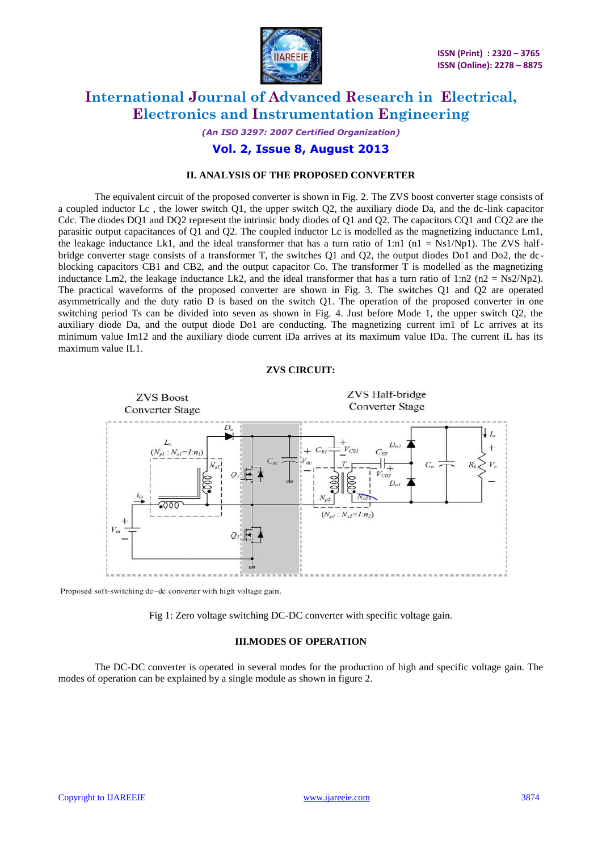

## *(An ISO 3297: 2007 Certified Organization)*

## **Vol. 2, Issue 8, August 2013**

### **II. ANALYSIS OF THE PROPOSED CONVERTER**

The equivalent circuit of the proposed converter is shown in Fig. 2. The ZVS boost converter stage consists of a coupled inductor Lc , the lower switch Q1, the upper switch Q2, the auxiliary diode Da, and the dc-link capacitor Cdc. The diodes DQ1 and DQ2 represent the intrinsic body diodes of Q1 and Q2. The capacitors CQ1 and CQ2 are the parasitic output capacitances of Q1 and Q2. The coupled inductor Lc is modelled as the magnetizing inductance Lm1, the leakage inductance Lk1, and the ideal transformer that has a turn ratio of 1:n1 ( $n1 = Ns1/Np1$ ). The ZVS halfbridge converter stage consists of a transformer T, the switches Q1 and Q2, the output diodes Do1 and Do2, the dcblocking capacitors CB1 and CB2, and the output capacitor Co. The transformer T is modelled as the magnetizing inductance Lm2, the leakage inductance Lk2, and the ideal transformer that has a turn ratio of 1:n2 (n2 =  $Ns2/Np2$ ). The practical waveforms of the proposed converter are shown in Fig. 3. The switches Q1 and Q2 are operated asymmetrically and the duty ratio D is based on the switch Q1. The operation of the proposed converter in one switching period Ts can be divided into seven as shown in Fig. 4. Just before Mode 1, the upper switch Q2, the auxiliary diode Da, and the output diode Do1 are conducting. The magnetizing current im1 of Lc arrives at its minimum value Im12 and the auxiliary diode current iDa arrives at its maximum value IDa. The current iL has its maximum value IL1.

#### **ZVS CIRCUIT:**



Proposed soft-switching dc-dc converter with high voltage gain.

Fig 1: Zero voltage switching DC-DC converter with specific voltage gain.

### **III.MODES OF OPERATION**

The DC-DC converter is operated in several modes for the production of high and specific voltage gain. The modes of operation can be explained by a single module as shown in figure 2.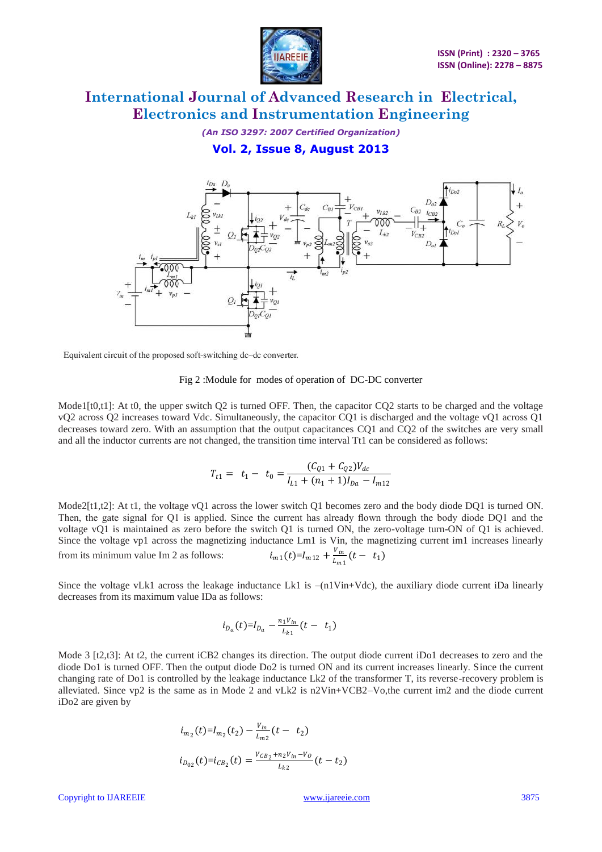

*(An ISO 3297: 2007 Certified Organization)*

**Vol. 2, Issue 8, August 2013**



Equivalent circuit of the proposed soft-switching dc-dc converter.

#### Fig 2 :Module for modes of operation of DC-DC converter

Mode1 $[t0,t1]$ : At t0, the upper switch Q2 is turned OFF. Then, the capacitor CO2 starts to be charged and the voltage vQ2 across Q2 increases toward Vdc. Simultaneously, the capacitor CQ1 is discharged and the voltage vQ1 across Q1 decreases toward zero. With an assumption that the output capacitances CQ1 and CQ2 of the switches are very small and all the inductor currents are not changed, the transition time interval Tt1 can be considered as follows:

$$
T_{t1} = t_1 - t_0 = \frac{(C_{Q1} + C_{Q2})V_{dc}}{I_{L1} + (n_1 + 1)I_{Da} - I_{m12}}
$$

Mode2[t1,t2]: At t1, the voltage vO1 across the lower switch O1 becomes zero and the body diode DO1 is turned ON. Then, the gate signal for Q1 is applied. Since the current has already flown through the body diode DQ1 and the voltage vQ1 is maintained as zero before the switch Q1 is turned ON, the zero-voltage turn-ON of Q1 is achieved. Since the voltage vp1 across the magnetizing inductance Lm1 is Vin, the magnetizing current im1 increases linearly from its minimum value Im 2 as follows:  $i_{m1}(t)=I_{m12} + \frac{v_{in}}{I_{m1}}$  $\frac{t_{in}}{L_{m1}}(t - t_1)$ 

Since the voltage vLk1 across the leakage inductance Lk1 is –(n1Vin+Vdc), the auxiliary diode current iDa linearly decreases from its maximum value IDa as follows:

$$
i_{D_a}(t)=I_{D_a}-\frac{n_1V_{in}}{L_{k1}}(t-t_1)
$$

Mode 3 [t2,t3]: At t2, the current iCB2 changes its direction. The output diode current iDo1 decreases to zero and the diode Do1 is turned OFF. Then the output diode Do2 is turned ON and its current increases linearly. Since the current changing rate of Do1 is controlled by the leakage inductance Lk2 of the transformer T, its reverse-recovery problem is alleviated. Since vp2 is the same as in Mode 2 and vLk2 is n2Vin+VCB2–Vo,the current im2 and the diode current iDo2 are given by

$$
i_{m_2}(t)=I_{m_2}(t_2)-\frac{v_{in}}{L_{m_2}}(t-t_2)
$$
  

$$
i_{D_{02}}(t)=i_{CB_2}(t)=\frac{v_{CB_2}+n_2v_{in}-v_O}{L_{k_2}}(t-t_2)
$$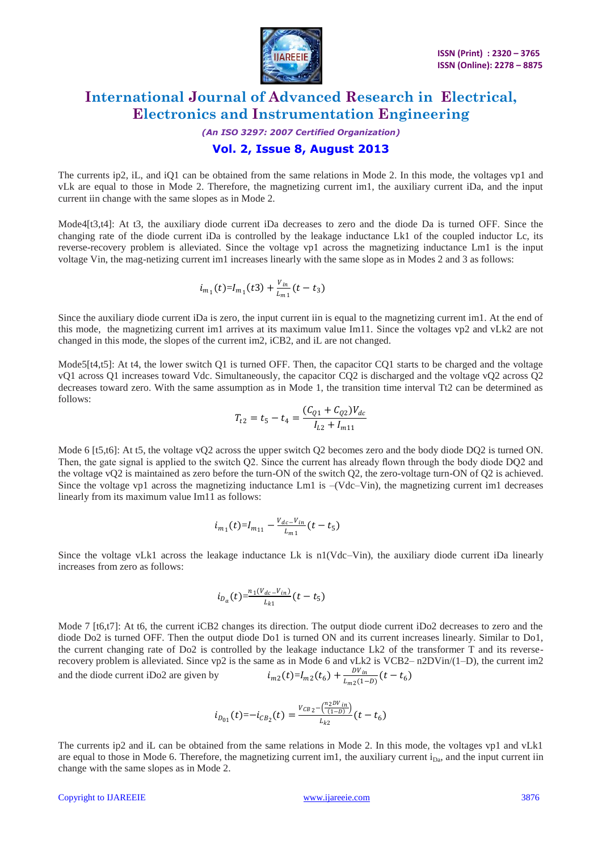

## *(An ISO 3297: 2007 Certified Organization)*

## **Vol. 2, Issue 8, August 2013**

The currents ip2, iL, and iQ1 can be obtained from the same relations in Mode 2. In this mode, the voltages vp1 and vLk are equal to those in Mode 2. Therefore, the magnetizing current im1, the auxiliary current iDa, and the input current iin change with the same slopes as in Mode 2.

Mode4[t3,t4]: At t3, the auxiliary diode current iDa decreases to zero and the diode Da is turned OFF. Since the changing rate of the diode current iDa is controlled by the leakage inductance Lk1 of the coupled inductor Lc, its reverse-recovery problem is alleviated. Since the voltage vp1 across the magnetizing inductance Lm1 is the input voltage Vin, the mag-netizing current im1 increases linearly with the same slope as in Modes 2 and 3 as follows:

$$
i_{m_1}(t) = I_{m_1}(t) + \frac{v_{in}}{L_{m_1}}(t - t_3)
$$

Since the auxiliary diode current iDa is zero, the input current iin is equal to the magnetizing current im1. At the end of this mode, the magnetizing current im1 arrives at its maximum value Im11. Since the voltages vp2 and vLk2 are not changed in this mode, the slopes of the current im2, iCB2, and iL are not changed.

Mode5[t4,t5]: At t4, the lower switch Q1 is turned OFF. Then, the capacitor CO1 starts to be charged and the voltage vQ1 across Q1 increases toward Vdc. Simultaneously, the capacitor CQ2 is discharged and the voltage vQ2 across Q2 decreases toward zero. With the same assumption as in Mode 1, the transition time interval Tt2 can be determined as follows:

$$
T_{t2} = t_5 - t_4 = \frac{(C_{Q1} + C_{Q2})V_{dc}}{I_{L2} + I_{m11}}
$$

Mode 6 [t5,t6]: At t5, the voltage vQ2 across the upper switch Q2 becomes zero and the body diode DQ2 is turned ON. Then, the gate signal is applied to the switch Q2. Since the current has already flown through the body diode DQ2 and the voltage vQ2 is maintained as zero before the turn-ON of the switch Q2, the zero-voltage turn-ON of Q2 is achieved. Since the voltage vp1 across the magnetizing inductance Lm1 is –(Vdc–Vin), the magnetizing current im1 decreases linearly from its maximum value Im11 as follows:

$$
i_{m_1}(t) = I_{m_{11}} - \frac{v_{dc} - v_{in}}{L_{m_1}}(t - t_5)
$$

Since the voltage vLk1 across the leakage inductance Lk is n1(Vdc–Vin), the auxiliary diode current iDa linearly increases from zero as follows:

$$
i_{D_a}(t){=}\frac{{n_1}({V}_{dc}- {V}_{in})}{L_{k1}}(t-t_5)
$$

Mode 7 [t6,t7]: At t6, the current iCB2 changes its direction. The output diode current iDo2 decreases to zero and the diode Do2 is turned OFF. Then the output diode Do1 is turned ON and its current increases linearly. Similar to Do1, the current changing rate of Do2 is controlled by the leakage inductance Lk2 of the transformer T and its reverserecovery problem is alleviated. Since vp2 is the same as in Mode 6 and vLk2 is VCB2– n2DVin/(1–D), the current im2 and the diode current iDo2 are given by  $i_{m2}(t)=I_{m2}(t_6)+\frac{DV_m}{I_{m2}(t_7)}$  $\frac{Dv_{in}}{L_{m2}(1-D)}(t-t_6)$ 

$$
i_{D_{01}}(t) = -i_{CB_2}(t) = \frac{v_{CB_2} - \left(\frac{n_2DV_{in}}{(1-D)}\right)}{L_{k2}}(t - t_6)
$$

The currents ip2 and iL can be obtained from the same relations in Mode 2. In this mode, the voltages vp1 and vLk1 are equal to those in Mode 6. Therefore, the magnetizing current im1, the auxiliary current  $i_{Da}$ , and the input current iin change with the same slopes as in Mode 2.

#### Copyright to IJAREEIE [www.ijareeie.com](http://www.ijareeie.com/) 3876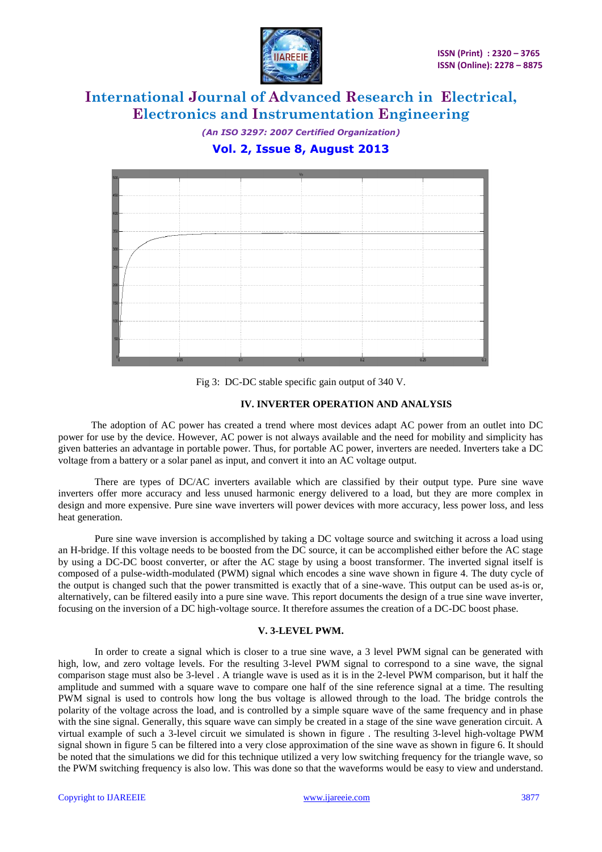

*(An ISO 3297: 2007 Certified Organization)* **Vol. 2, Issue 8, August 2013**



Fig 3: DC-DC stable specific gain output of 340 V.

### **IV. INVERTER OPERATION AND ANALYSIS**

 The adoption of AC power has created a trend where most devices adapt AC power from an outlet into DC power for use by the device. However, AC power is not always available and the need for mobility and simplicity has given batteries an advantage in portable power. Thus, for portable AC power, inverters are needed. Inverters take a DC voltage from a battery or a solar panel as input, and convert it into an AC voltage output.

There are types of DC/AC inverters available which are classified by their output type. Pure sine wave inverters offer more accuracy and less unused harmonic energy delivered to a load, but they are more complex in design and more expensive. Pure sine wave inverters will power devices with more accuracy, less power loss, and less heat generation.

Pure sine wave inversion is accomplished by taking a DC voltage source and switching it across a load using an H-bridge. If this voltage needs to be boosted from the DC source, it can be accomplished either before the AC stage by using a DC-DC boost converter, or after the AC stage by using a boost transformer. The inverted signal itself is composed of a pulse-width-modulated (PWM) signal which encodes a sine wave shown in figure 4. The duty cycle of the output is changed such that the power transmitted is exactly that of a sine-wave. This output can be used as-is or, alternatively, can be filtered easily into a pure sine wave. This report documents the design of a true sine wave inverter, focusing on the inversion of a DC high-voltage source. It therefore assumes the creation of a DC-DC boost phase.

### **V. 3-LEVEL PWM.**

In order to create a signal which is closer to a true sine wave, a 3 level PWM signal can be generated with high, low, and zero voltage levels. For the resulting 3-level PWM signal to correspond to a sine wave, the signal comparison stage must also be 3-level . A triangle wave is used as it is in the 2-level PWM comparison, but it half the amplitude and summed with a square wave to compare one half of the sine reference signal at a time. The resulting PWM signal is used to controls how long the bus voltage is allowed through to the load. The bridge controls the polarity of the voltage across the load, and is controlled by a simple square wave of the same frequency and in phase with the sine signal. Generally, this square wave can simply be created in a stage of the sine wave generation circuit. A virtual example of such a 3-level circuit we simulated is shown in figure . The resulting 3-level high-voltage PWM signal shown in figure 5 can be filtered into a very close approximation of the sine wave as shown in figure 6. It should be noted that the simulations we did for this technique utilized a very low switching frequency for the triangle wave, so the PWM switching frequency is also low. This was done so that the waveforms would be easy to view and understand.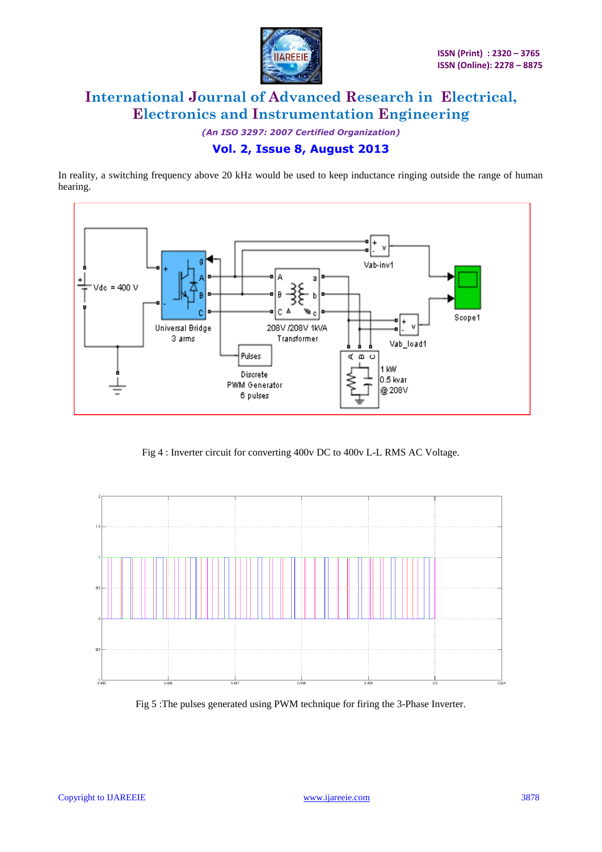

*(An ISO 3297: 2007 Certified Organization)*

## **Vol. 2, Issue 8, August 2013**

In reality, a switching frequency above 20 kHz would be used to keep inductance ringing outside the range of human hearing.



Fig 4 : Inverter circuit for converting 400v DC to 400v L-L RMS AC Voltage.



Fig 5 :The pulses generated using PWM technique for firing the 3-Phase Inverter.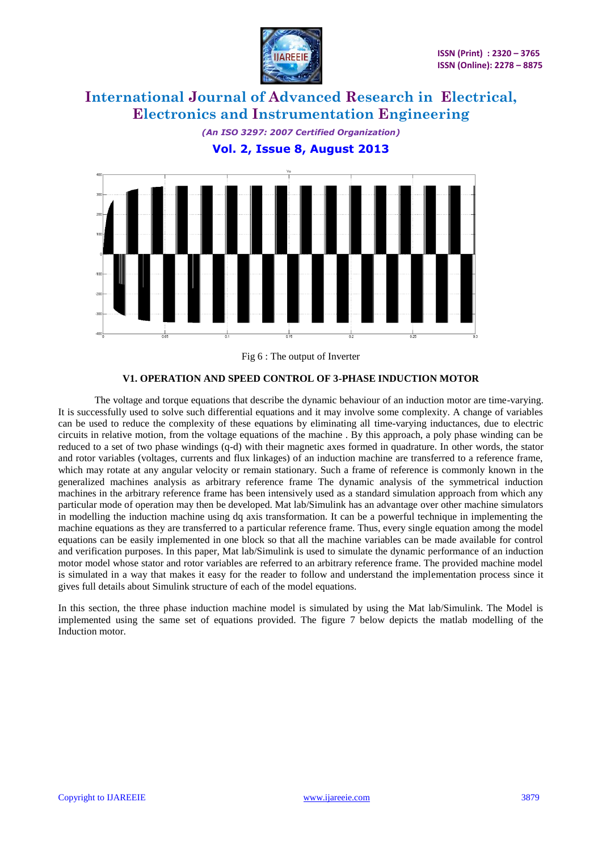





Fig 6 : The output of Inverter

### **V1. OPERATION AND SPEED CONTROL OF 3-PHASE INDUCTION MOTOR**

The voltage and torque equations that describe the dynamic behaviour of an induction motor are time-varying. It is successfully used to solve such differential equations and it may involve some complexity. A change of variables can be used to reduce the complexity of these equations by eliminating all time-varying inductances, due to electric circuits in relative motion, from the voltage equations of the machine . By this approach, a poly phase winding can be reduced to a set of two phase windings (q-d) with their magnetic axes formed in quadrature. In other words, the stator and rotor variables (voltages, currents and flux linkages) of an induction machine are transferred to a reference frame, which may rotate at any angular velocity or remain stationary. Such a frame of reference is commonly known in the generalized machines analysis as arbitrary reference frame The dynamic analysis of the symmetrical induction machines in the arbitrary reference frame has been intensively used as a standard simulation approach from which any particular mode of operation may then be developed. Mat lab/Simulink has an advantage over other machine simulators in modelling the induction machine using dq axis transformation. It can be a powerful technique in implementing the machine equations as they are transferred to a particular reference frame. Thus, every single equation among the model equations can be easily implemented in one block so that all the machine variables can be made available for control and verification purposes. In this paper, Mat lab/Simulink is used to simulate the dynamic performance of an induction motor model whose stator and rotor variables are referred to an arbitrary reference frame. The provided machine model is simulated in a way that makes it easy for the reader to follow and understand the implementation process since it gives full details about Simulink structure of each of the model equations.

In this section, the three phase induction machine model is simulated by using the Mat lab/Simulink. The Model is implemented using the same set of equations provided. The figure 7 below depicts the matlab modelling of the Induction motor.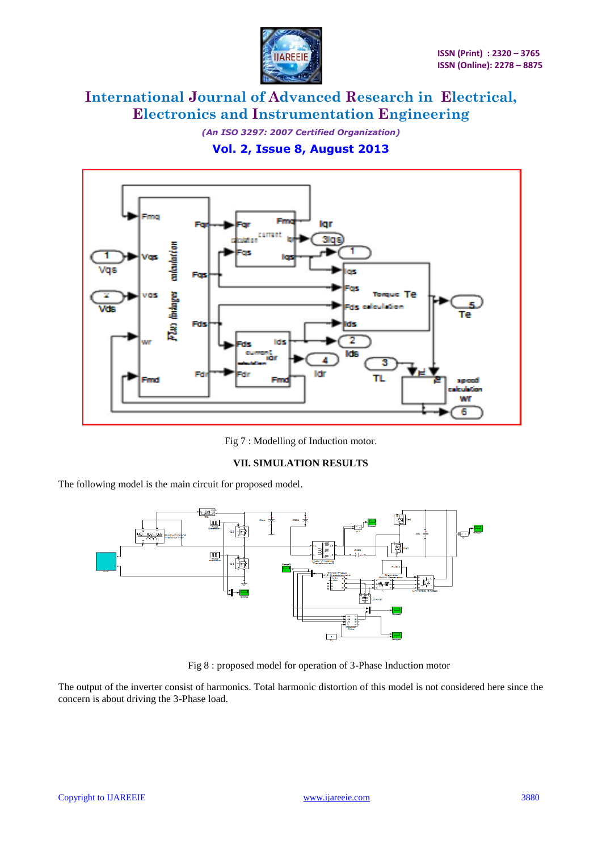

*(An ISO 3297: 2007 Certified Organization)* **Vol. 2, Issue 8, August 2013**



Fig 7 : Modelling of Induction motor.

### **VII. SIMULATION RESULTS**

The following model is the main circuit for proposed model.



Fig 8 : proposed model for operation of 3-Phase Induction motor

The output of the inverter consist of harmonics. Total harmonic distortion of this model is not considered here since the concern is about driving the 3-Phase load.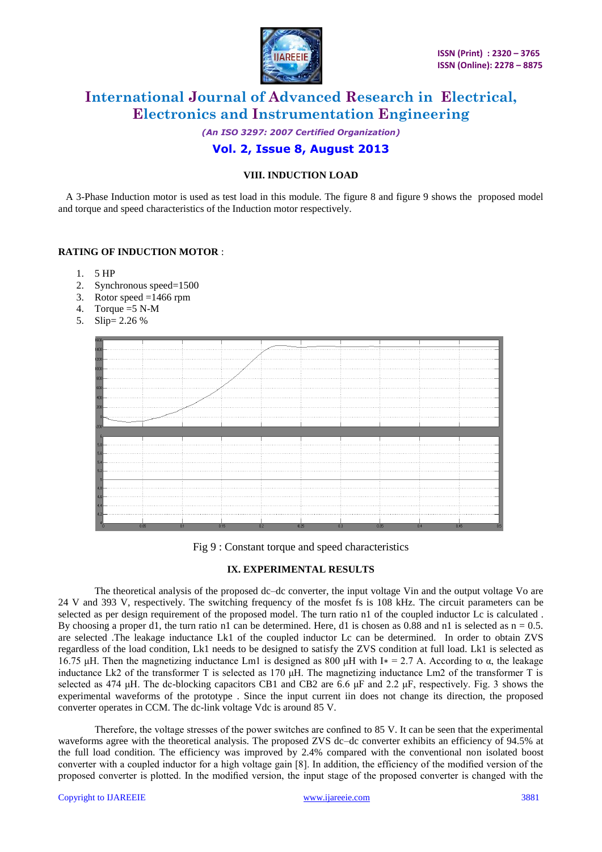

*(An ISO 3297: 2007 Certified Organization)*

## **Vol. 2, Issue 8, August 2013**

## **VIII. INDUCTION LOAD**

 A 3-Phase Induction motor is used as test load in this module. The figure 8 and figure 9 shows the proposed model and torque and speed characteristics of the Induction motor respectively.

### **RATING OF INDUCTION MOTOR** :

- 1. 5 HP
- 2. Synchronous speed=1500
- 3. Rotor speed  $=1466$  rpm
- 4. Torque  $=5$  N-M
- 5. Slip= 2.26 %



Fig 9 : Constant torque and speed characteristics

### **IX. EXPERIMENTAL RESULTS**

The theoretical analysis of the proposed dc–dc converter, the input voltage Vin and the output voltage Vo are 24 V and 393 V, respectively. The switching frequency of the mosfet fs is 108 kHz. The circuit parameters can be selected as per design requirement of the proposed model. The turn ratio n1 of the coupled inductor Lc is calculated. By choosing a proper d1, the turn ratio n1 can be determined. Here, d1 is chosen as 0.88 and n1 is selected as  $n = 0.5$ . are selected .The leakage inductance Lk1 of the coupled inductor Lc can be determined. In order to obtain ZVS regardless of the load condition, Lk1 needs to be designed to satisfy the ZVS condition at full load. Lk1 is selected as 16.75 μH. Then the magnetizing inductance Lm1 is designed as 800 μH with I<sup>\*</sup> = 2.7 A. According to α, the leakage inductance Lk2 of the transformer T is selected as 170 μH. The magnetizing inductance Lm2 of the transformer T is selected as 474 μH. The dc-blocking capacitors CB1 and CB2 are 6.6 μF and 2.2 μF, respectively. Fig. 3 shows the experimental waveforms of the prototype . Since the input current iin does not change its direction, the proposed converter operates in CCM. The dc-link voltage Vdc is around 85 V.

Therefore, the voltage stresses of the power switches are confined to 85 V. It can be seen that the experimental waveforms agree with the theoretical analysis. The proposed ZVS dc–dc converter exhibits an efficiency of 94.5% at the full load condition. The efficiency was improved by 2.4% compared with the conventional non isolated boost converter with a coupled inductor for a high voltage gain [8]. In addition, the efficiency of the modified version of the proposed converter is plotted. In the modified version, the input stage of the proposed converter is changed with the